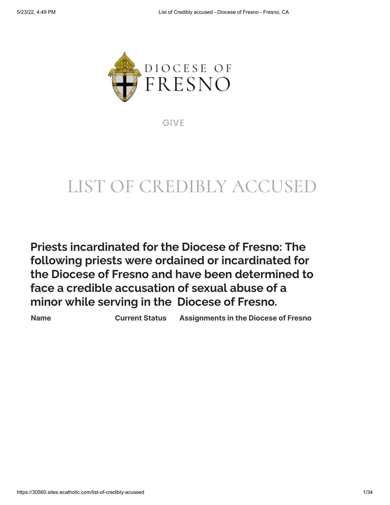

[GIVE](https://30560.sites.ecatholic.com/bishops-annual-appeal)

# LIST OF CREDIBLY ACCUSED

**Priests incardinated for the Diocese of Fresno: The following priests were ordained or incardinated for the Diocese of Fresno and have been determined to face a credible accusation of sexual abuse of a minor while serving in the Diocese of Fresno.**

**Name Current Status Assignments in the Diocese of Fresno**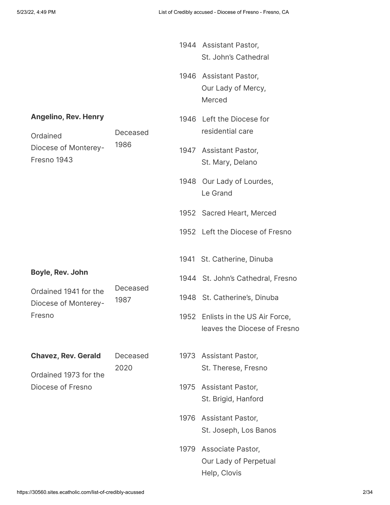|                                               |                  |      | 1944 Assistant Pastor,<br>St. John's Cathedral                    |
|-----------------------------------------------|------------------|------|-------------------------------------------------------------------|
|                                               |                  |      | 1946 Assistant Pastor,<br>Our Lady of Mercy,<br>Merced            |
| <b>Angelino, Rev. Henry</b><br>Ordained       | Deceased         |      | 1946 Left the Diocese for<br>residential care                     |
| Diocese of Monterey-<br>Fresno 1943           | 1986             |      | 1947 Assistant Pastor,<br>St. Mary, Delano                        |
|                                               |                  |      | 1948 Our Lady of Lourdes,<br>Le Grand                             |
|                                               |                  |      | 1952 Sacred Heart, Merced                                         |
|                                               |                  |      | 1952 Left the Diocese of Fresno                                   |
|                                               |                  |      | 1941 St. Catherine, Dinuba                                        |
| Boyle, Rev. John                              |                  |      | 1944 St. John's Cathedral, Fresno                                 |
| Ordained 1941 for the<br>Diocese of Monterey- | Deceased<br>1987 |      | 1948 St. Catherine's, Dinuba                                      |
| Fresno                                        |                  |      | 1952 Enlists in the US Air Force,<br>leaves the Diocese of Fresno |
| <b>Chavez, Rev. Gerald</b>                    | Deceased<br>2020 |      | 1973 Assistant Pastor,<br>St. Therese, Fresno                     |
| Ordained 1973 for the<br>Diocese of Fresno    |                  | 1975 | Assistant Pastor,<br>St. Brigid, Hanford                          |
|                                               |                  | 1976 | Assistant Pastor,<br>St. Joseph, Los Banos                        |
|                                               |                  | 1979 | Associate Pastor,<br>Our Lady of Perpetual<br>Help, Clovis        |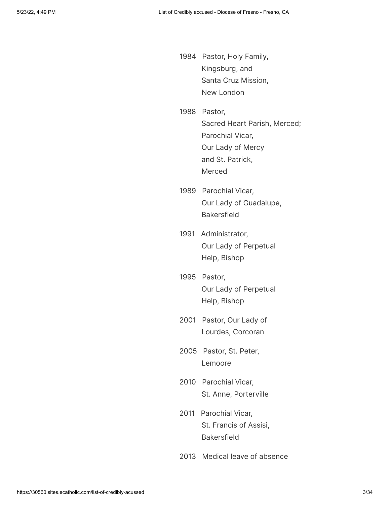- 1984 Pastor, Holy Family, Kingsburg, and Santa Cruz Mission, New London
- 1988 Pastor, Sacred Heart Parish, Merced; Parochial Vicar, Our Lady of Mercy and St. Patrick, Merced
- 1989 Parochial Vicar, Our Lady of Guadalupe, Bakersfield
- 1991 Administrator, Our Lady of Perpetual Help, Bishop
- 1995 Pastor, Our Lady of Perpetual Help, Bishop
- 2001 Pastor, Our Lady of Lourdes, Corcoran
- 2005 Pastor, St. Peter, Lemoore
- 2010 Parochial Vicar, St. Anne, Porterville
- 2011 Parochial Vicar, St. Francis of Assisi, Bakersfield
- 2013 Medical leave of absence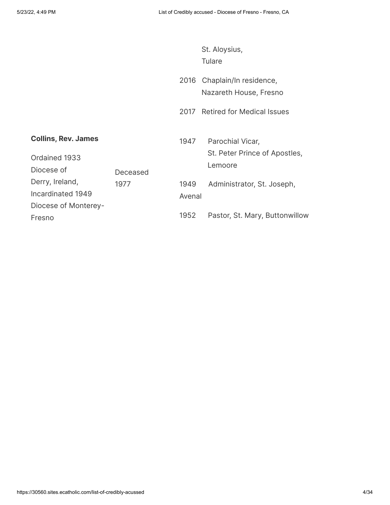|                                                           |          |                | St. Aloysius,<br><b>Tulare</b>                               |
|-----------------------------------------------------------|----------|----------------|--------------------------------------------------------------|
|                                                           |          | 2016           | Chaplain/In residence,<br>Nazareth House, Fresno             |
|                                                           |          | 2017           | <b>Retired for Medical Issues</b>                            |
| <b>Collins, Rev. James</b><br>Ordained 1933<br>Diocese of | Deceased | 1947           | Parochial Vicar,<br>St. Peter Prince of Apostles,<br>Lemoore |
| Derry, Ireland,<br>Incardinated 1949                      | 1977     | 1949<br>Avenal | Administrator, St. Joseph,                                   |
| Diocese of Monterey-<br>Fresno                            |          | 1952           | Pastor, St. Mary, Buttonwillow                               |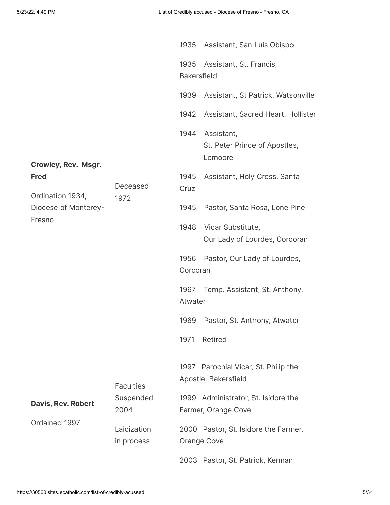|                                 |                           | 1935                       | Assistant, San Luis Obispo                                   |
|---------------------------------|---------------------------|----------------------------|--------------------------------------------------------------|
|                                 |                           | 1935<br><b>Bakersfield</b> | Assistant, St. Francis,                                      |
|                                 |                           | 1939                       | Assistant, St Patrick, Watsonville                           |
|                                 |                           | 1942                       | Assistant, Sacred Heart, Hollister                           |
| <b>Crowley, Rev. Msgr.</b>      |                           | 1944                       | Assistant,<br>St. Peter Prince of Apostles,<br>Lemoore       |
| <b>Fred</b><br>Ordination 1934, | Deceased                  | 1945<br>Cruz               | Assistant, Holy Cross, Santa                                 |
| Diocese of Monterey-            | 1972                      | 1945                       | Pastor, Santa Rosa, Lone Pine                                |
| Fresno                          |                           |                            | 1948 Vicar Substitute,<br>Our Lady of Lourdes, Corcoran      |
|                                 |                           | 1956<br>Corcoran           | Pastor, Our Lady of Lourdes,                                 |
|                                 |                           | 1967<br>Atwater            | Temp. Assistant, St. Anthony,                                |
|                                 |                           | 1969                       | Pastor, St. Anthony, Atwater                                 |
|                                 |                           | 1971                       | Retired                                                      |
|                                 | <b>Faculties</b>          |                            | 1997 Parochial Vicar, St. Philip the<br>Apostle, Bakersfield |
| <b>Davis, Rev. Robert</b>       | Suspended<br>2004         |                            | 1999 Administrator, St. Isidore the<br>Farmer, Orange Cove   |
| Ordained 1997                   | Laicization<br>in process |                            | 2000 Pastor, St. Isidore the Farmer,<br>Orange Cove          |
|                                 |                           |                            | 2003 Pastor, St. Patrick, Kerman                             |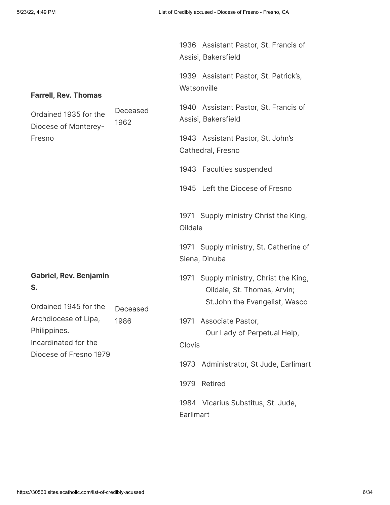| <b>Farrell, Rev. Thomas</b>                                  |                  | 1936 Assistant Pastor, St. Francis of<br>Assisi, Bakersfield<br>1939 Assistant Pastor, St. Patrick's,<br>Watsonville |
|--------------------------------------------------------------|------------------|----------------------------------------------------------------------------------------------------------------------|
| Ordained 1935 for the<br>Diocese of Monterey-<br>Fresno      | Deceased<br>1962 | 1940 Assistant Pastor, St. Francis of<br>Assisi, Bakersfield<br>1943 Assistant Pastor, St. John's                    |
|                                                              |                  | Cathedral, Fresno<br>1943 Faculties suspended                                                                        |
|                                                              |                  | 1945 Left the Diocese of Fresno<br>1971 Supply ministry Christ the King,<br>Oildale                                  |
|                                                              |                  | 1971 Supply ministry, St. Catherine of<br>Siena, Dinuba                                                              |
| <b>Gabriel, Rev. Benjamin</b><br>S.<br>Ordained 1945 for the |                  | 1971 Supply ministry, Christ the King,<br>Oildale, St. Thomas, Arvin;<br>St. John the Evangelist, Wasco              |
| Archdiocese of Lipa,<br>Philippines.<br>Incardinated for the | Deceased<br>1986 | 1971 Associate Pastor,<br>Our Lady of Perpetual Help,<br>Clovis                                                      |
| Diocese of Fresno 1979                                       |                  | 1973 Administrator, St Jude, Earlimart                                                                               |
|                                                              |                  | Retired<br>1979                                                                                                      |
|                                                              |                  | 1984 Vicarius Substitus, St. Jude,<br>Earlimart                                                                      |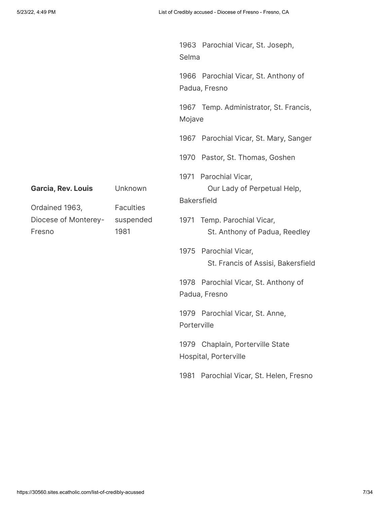|                                                  |                                                  | Selma                                                  | 1963 Parochial Vicar, St. Joseph,                       |
|--------------------------------------------------|--------------------------------------------------|--------------------------------------------------------|---------------------------------------------------------|
|                                                  |                                                  | 1966 Parochial Vicar, St. Anthony of<br>Padua, Fresno  |                                                         |
|                                                  | 1967 Temp. Administrator, St. Francis,<br>Mojave |                                                        |                                                         |
|                                                  |                                                  |                                                        | 1967 Parochial Vicar, St. Mary, Sanger                  |
|                                                  |                                                  |                                                        | 1970 Pastor, St. Thomas, Goshen                         |
| Garcia, Rev. Louis                               | Unknown                                          | <b>Bakersfield</b>                                     | 1971 Parochial Vicar,<br>Our Lady of Perpetual Help,    |
| Ordained 1963,<br>Diocese of Monterey-<br>Fresno | <b>Faculties</b><br>suspended<br>1981            | 1971                                                   | Temp. Parochial Vicar,<br>St. Anthony of Padua, Reedley |
|                                                  | 1975                                             | Parochial Vicar,<br>St. Francis of Assisi, Bakersfield |                                                         |
|                                                  |                                                  | 1978 Parochial Vicar, St. Anthony of<br>Padua, Fresno  |                                                         |
|                                                  | Porterville                                      | 1979 Parochial Vicar, St. Anne,                        |                                                         |
|                                                  | 1979                                             | Chaplain, Porterville State<br>Hospital, Porterville   |                                                         |
|                                                  |                                                  |                                                        | 1981 Parochial Vicar, St. Helen, Fresno                 |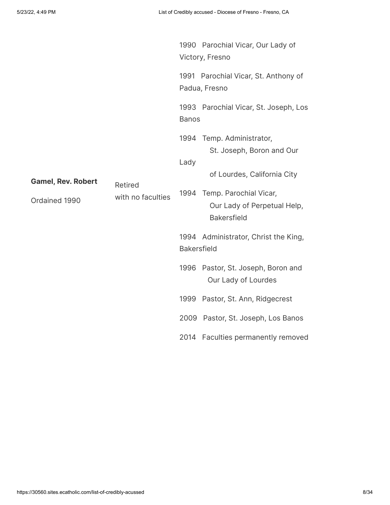|                                    |                    |                                                                             | 1990 Parochial Vicar, Our Lady of<br>Victory, Fresno      |
|------------------------------------|--------------------|-----------------------------------------------------------------------------|-----------------------------------------------------------|
|                                    |                    |                                                                             | 1991 Parochial Vicar, St. Anthony of<br>Padua, Fresno     |
|                                    |                    | <b>Banos</b>                                                                | 1993 Parochial Vicar, St. Joseph, Los                     |
|                                    |                    | Lady                                                                        | 1994 Temp. Administrator,<br>St. Joseph, Boron and Our    |
| <b>Gamel, Rev. Robert</b>          | Retired            |                                                                             | of Lourdes, California City                               |
| with no faculties<br>Ordained 1990 | 1994               | Temp. Parochial Vicar,<br>Our Lady of Perpetual Help,<br><b>Bakersfield</b> |                                                           |
|                                    | <b>Bakersfield</b> | 1994 Administrator, Christ the King,                                        |                                                           |
|                                    |                    |                                                                             | 1996 Pastor, St. Joseph, Boron and<br>Our Lady of Lourdes |
|                                    |                    |                                                                             | 1999 Pastor, St. Ann, Ridgecrest                          |
|                                    |                    |                                                                             | 2009 Pastor, St. Joseph, Los Banos                        |
|                                    |                    | 2014                                                                        | <b>Faculties permanently removed</b>                      |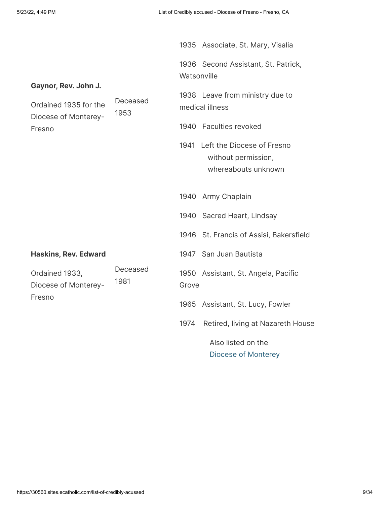|                                                                       |                  |             | 1935 Associate, St. Mary, Visalia                                             |
|-----------------------------------------------------------------------|------------------|-------------|-------------------------------------------------------------------------------|
|                                                                       |                  | Watsonville | 1936 Second Assistant, St. Patrick,                                           |
| Gaynor, Rev. John J.<br>Ordained 1935 for the<br>Diocese of Monterey- | Deceased<br>1953 |             | 1938 Leave from ministry due to<br>medical illness                            |
| Fresno                                                                |                  |             | 1940 Faculties revoked                                                        |
|                                                                       |                  |             | 1941 Left the Diocese of Fresno<br>without permission,<br>whereabouts unknown |
|                                                                       |                  |             | 1940 Army Chaplain                                                            |
|                                                                       |                  |             | 1940 Sacred Heart, Lindsay                                                    |
|                                                                       |                  |             | 1946 St. Francis of Assisi, Bakersfield                                       |
| <b>Haskins, Rev. Edward</b>                                           |                  |             | 1947 San Juan Bautista                                                        |
| Ordained 1933,<br>Diocese of Monterey-                                | Deceased<br>1981 | Grove       | 1950 Assistant, St. Angela, Pacific                                           |
| Fresno                                                                |                  |             | 1965 Assistant, St. Lucy, Fowler                                              |
|                                                                       |                  | 1974        | Retired, living at Nazareth House                                             |
|                                                                       |                  |             | Also listed on the                                                            |

 [Diocese of Monterey](https://www.bishop-accountability.org/diocesan_lists/Monterey/2019_01_02_Monterey_Credible_Allegations.pdf#page=4)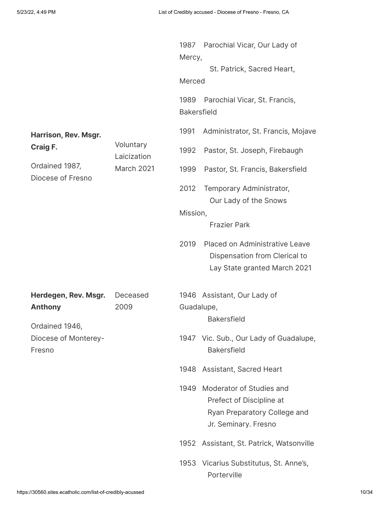| Harrison, Rev. Msgr.<br>Craig F.<br>Ordained 1987,<br>Diocese of Fresno | Voluntary<br>Laicization<br>March 2021 | Mercy,<br>Merced<br>1989<br><b>Bakersfield</b><br>1991<br>1992<br>1999<br>2012 | 1987 Parochial Vicar, Our Lady of<br>St. Patrick, Sacred Heart,<br>Parochial Vicar, St. Francis,<br>Administrator, St. Francis, Mojave<br>Pastor, St. Joseph, Firebaugh<br>Pastor, St. Francis, Bakersfield<br>Temporary Administrator, |
|-------------------------------------------------------------------------|----------------------------------------|--------------------------------------------------------------------------------|-----------------------------------------------------------------------------------------------------------------------------------------------------------------------------------------------------------------------------------------|
|                                                                         |                                        | Mission,<br>2019                                                               | Our Lady of the Snows<br><b>Frazier Park</b><br>Placed on Administrative Leave                                                                                                                                                          |
|                                                                         |                                        |                                                                                | Dispensation from Clerical to<br>Lay State granted March 2021                                                                                                                                                                           |
| Herdegen, Rev. Msgr.<br><b>Anthony</b><br>Ordained 1946,                | Deceased<br>2009                       | Guadalupe,                                                                     | 1946 Assistant, Our Lady of<br><b>Bakersfield</b>                                                                                                                                                                                       |
| Diocese of Monterey-<br>Fresno                                          |                                        |                                                                                | 1947 Vic. Sub., Our Lady of Guadalupe,<br><b>Bakersfield</b>                                                                                                                                                                            |
|                                                                         |                                        | 1948                                                                           | Assistant, Sacred Heart                                                                                                                                                                                                                 |
|                                                                         |                                        | 1949                                                                           | Moderator of Studies and<br>Prefect of Discipline at<br>Ryan Preparatory College and<br>Jr. Seminary. Fresno                                                                                                                            |
|                                                                         |                                        |                                                                                | 1952 Assistant, St. Patrick, Watsonville                                                                                                                                                                                                |
|                                                                         |                                        |                                                                                | 1953 Vicarius Substitutus, St. Anne's,<br>Porterville                                                                                                                                                                                   |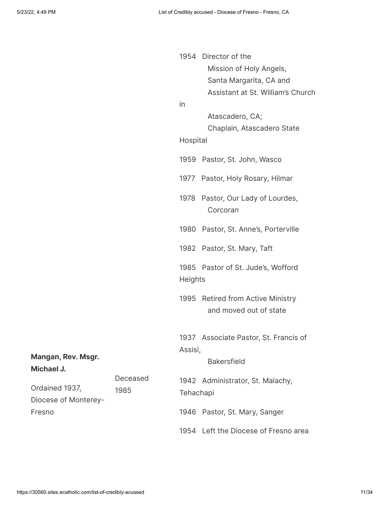|                                  |          | 1954           | Director of the                                               |  |
|----------------------------------|----------|----------------|---------------------------------------------------------------|--|
|                                  |          |                | Mission of Holy Angels,                                       |  |
|                                  |          |                | Santa Margarita, CA and                                       |  |
|                                  |          |                | Assistant at St. William's Church                             |  |
|                                  |          | in             |                                                               |  |
|                                  |          |                | Atascadero, CA;                                               |  |
|                                  |          |                | Chaplain, Atascadero State                                    |  |
|                                  |          | Hospital       |                                                               |  |
|                                  |          |                | 1959 Pastor, St. John, Wasco                                  |  |
|                                  |          |                | 1977 Pastor, Holy Rosary, Hilmar                              |  |
|                                  |          |                | 1978 Pastor, Our Lady of Lourdes,<br>Corcoran                 |  |
|                                  |          | 1980           | Pastor, St. Anne's, Porterville                               |  |
|                                  |          |                | 1982 Pastor, St. Mary, Taft                                   |  |
|                                  |          | <b>Heights</b> | 1985 Pastor of St. Jude's, Wofford                            |  |
|                                  |          | 1995           | <b>Retired from Active Ministry</b><br>and moved out of state |  |
|                                  |          | Assisi,        | 1937 Associate Pastor, St. Francis of                         |  |
| Mangan, Rev. Msgr.<br>Michael J. |          |                | <b>Bakersfield</b>                                            |  |
|                                  | Deceased |                | 1942 Administrator, St. Malachy,                              |  |
| Ordained 1937,                   | 1985     | Tehachapi      |                                                               |  |
| Diocese of Monterey-             |          |                |                                                               |  |
| Fresno                           |          |                | 1946 Pastor, St. Mary, Sanger                                 |  |
|                                  |          |                | 1954 Left the Diocese of Fresno area                          |  |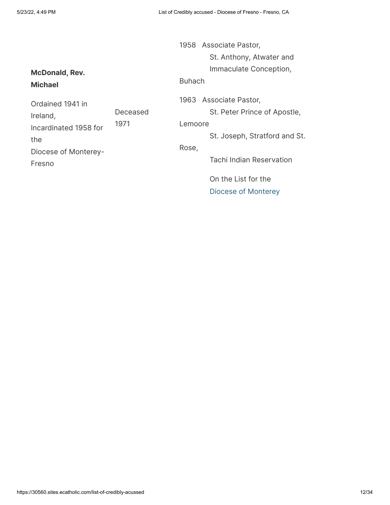1958 Associate Pastor, St. Anthony, Atwater and Immaculate Conception, Buhach 1963 Associate Pastor, St. Peter Prince of Apostle, Lemoore St. Joseph, Stratford and St. Rose, Tachi Indian Reservation On the List for the  [Diocese of Monterey](https://www.bishop-accountability.org/diocesan_lists/Monterey/2019_01_02_Monterey_Credible_Allegations.pdf#page=4)

**McDonald, Rev. Michael**

Ordained 1941 in Ireland, Incardinated 1958 for the Diocese of Monterey-Fresno Deceased 1971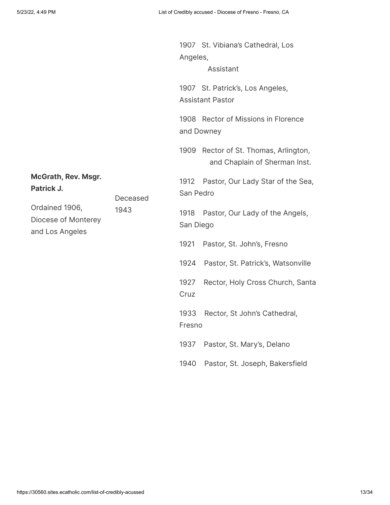|                                                                  |          | Angeles,                                                               | 1907 St. Vibiana's Cathedral, Los<br>Assistant |
|------------------------------------------------------------------|----------|------------------------------------------------------------------------|------------------------------------------------|
|                                                                  |          | 1907 St. Patrick's, Los Angeles,<br><b>Assistant Pastor</b>            |                                                |
|                                                                  |          | 1908 Rector of Missions in Florence<br>and Downey                      |                                                |
|                                                                  |          | 1909 Rector of St. Thomas, Arlington,<br>and Chaplain of Sherman Inst. |                                                |
| <b>McGrath, Rev. Msgr.</b><br>Patrick J.                         | Deceased | 1912<br>San Pedro                                                      | Pastor, Our Lady Star of the Sea,              |
| Ordained 1906,<br>1943<br>Diocese of Monterey<br>and Los Angeles |          | 1918<br>San Diego                                                      | Pastor, Our Lady of the Angels,                |
|                                                                  |          | 1921                                                                   | Pastor, St. John's, Fresno                     |
|                                                                  |          | 1924                                                                   | Pastor, St. Patrick's, Watsonville             |
|                                                                  |          | 1927<br>Cruz                                                           | Rector, Holy Cross Church, Santa               |
|                                                                  |          | 1933<br>Fresno                                                         | Rector, St John's Cathedral,                   |
|                                                                  |          | 1937                                                                   | Pastor, St. Mary's, Delano                     |

1940 Pastor, St. Joseph, Bakersfield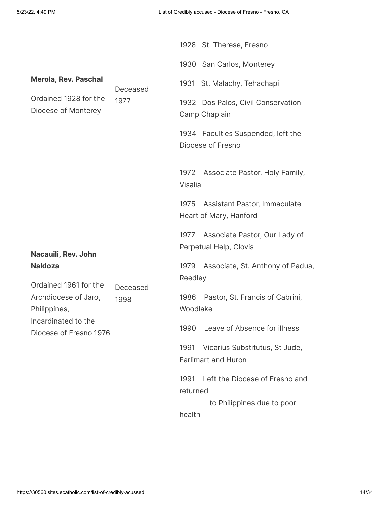|                                               |                  |                  | 1928 St. Therese, Fresno                                     |
|-----------------------------------------------|------------------|------------------|--------------------------------------------------------------|
|                                               |                  |                  | 1930 San Carlos, Monterey                                    |
| <b>Merola, Rev. Paschal</b>                   | Deceased         |                  | 1931 St. Malachy, Tehachapi                                  |
| Ordained 1928 for the<br>Diocese of Monterey  | 1977             |                  | 1932 Dos Palos, Civil Conservation<br>Camp Chaplain          |
|                                               |                  |                  | 1934 Faculties Suspended, left the<br>Diocese of Fresno      |
|                                               |                  | Visalia          | 1972 Associate Pastor, Holy Family,                          |
|                                               |                  | 1975             | Assistant Pastor, Immaculate<br>Heart of Mary, Hanford       |
| Nacauili, Rev. John                           |                  | 1977             | Associate Pastor, Our Lady of<br>Perpetual Help, Clovis      |
| <b>Naldoza</b><br>Ordained 1961 for the       |                  | 1979<br>Reedley  | Associate, St. Anthony of Padua,                             |
| Archdiocese of Jaro,<br>Philippines,          | Deceased<br>1998 | 1986<br>Woodlake | Pastor, St. Francis of Cabrini,                              |
| Incardinated to the<br>Diocese of Fresno 1976 |                  | 1990             | Leave of Absence for illness                                 |
|                                               |                  | 1991             | Vicarius Substitutus, St Jude,<br><b>Earlimart and Huron</b> |
|                                               |                  | 1991<br>returned | Left the Diocese of Fresno and                               |
|                                               |                  | health           | to Philippines due to poor                                   |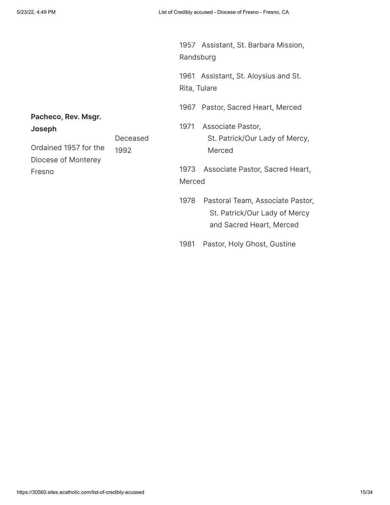1957 Assistant, St. Barbara Mission, Randsburg

1961 Assistant, St. Aloysius and St. Rita, Tulare

1967 Pastor, Sacred Heart, Merced

1971 Associate Pastor, St. Patrick/Our Lady of Mercy, Merced

1973 Associate Pastor, Sacred Heart, Merced

- 1978 Pastoral Team, Associate Pastor, St. Patrick/Our Lady of Mercy and Sacred Heart, Merced
- 1981 Pastor, Holy Ghost, Gustine

## **Pacheco, Rev. Msgr. Joseph**

| –––––––               |          |
|-----------------------|----------|
|                       | Deceased |
| Ordained 1957 for the | 1992     |
| Diocese of Monterey   |          |
| Fresno                |          |
|                       |          |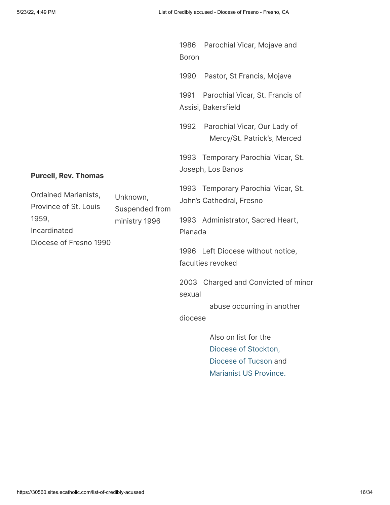|                                                                                                                              | 1986<br><b>Boron</b> | Parochial Vicar, Mojave and                                                                     |
|------------------------------------------------------------------------------------------------------------------------------|----------------------|-------------------------------------------------------------------------------------------------|
|                                                                                                                              | 1990                 | Pastor, St Francis, Mojave                                                                      |
|                                                                                                                              | 1991                 | Parochial Vicar, St. Francis of<br>Assisi, Bakersfield                                          |
|                                                                                                                              | 1992                 | Parochial Vicar, Our Lady of<br>Mercy/St. Patrick's, Merced                                     |
| <b>Purcell, Rev. Thomas</b>                                                                                                  |                      | 1993 Temporary Parochial Vicar, St.<br>Joseph, Los Banos                                        |
| <b>Ordained Marianists,</b><br>Unknown,<br>Province of St. Louis<br>Suspended from<br>1959,<br>ministry 1996<br>Incardinated |                      | 1993 Temporary Parochial Vicar, St.<br>John's Cathedral, Fresno                                 |
|                                                                                                                              | Planada              | 1993 Administrator, Sacred Heart,                                                               |
| Diocese of Fresno 1990                                                                                                       |                      | 1996 Left Diocese without notice,<br>faculties revoked                                          |
|                                                                                                                              | sexual               | 2003 Charged and Convicted of minor                                                             |
|                                                                                                                              | diocese              | abuse occurring in another                                                                      |
|                                                                                                                              |                      | Also on list for the<br>Diocese of Stockton,<br>Diocese of Tucson and<br>Marianist US Province. |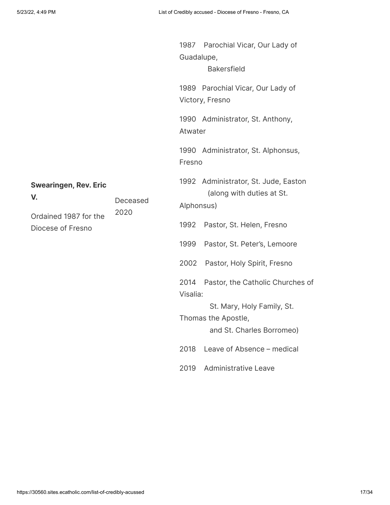| <b>Swearingen, Rev. Eric</b><br>V.<br>Deceased<br>2020<br>Ordained 1987 for the<br>Diocese of Fresno | Guadalupe,       | 1987 Parochial Vicar, Our Lady of<br><b>Bakersfield</b>                        |
|------------------------------------------------------------------------------------------------------|------------------|--------------------------------------------------------------------------------|
|                                                                                                      |                  | 1989 Parochial Vicar, Our Lady of<br>Victory, Fresno                           |
|                                                                                                      | Atwater          | 1990 Administrator, St. Anthony,                                               |
|                                                                                                      | Fresno           | 1990 Administrator, St. Alphonsus,                                             |
|                                                                                                      | Alphonsus)       | 1992 Administrator, St. Jude, Easton<br>(along with duties at St.              |
|                                                                                                      | 1992             | Pastor, St. Helen, Fresno                                                      |
|                                                                                                      | 1999             | Pastor, St. Peter's, Lemoore                                                   |
|                                                                                                      | 2002             | Pastor, Holy Spirit, Fresno                                                    |
|                                                                                                      | 2014<br>Visalia: | Pastor, the Catholic Churches of                                               |
|                                                                                                      |                  | St. Mary, Holy Family, St.<br>Thomas the Apostle,<br>and St. Charles Borromeo) |
|                                                                                                      | 2018             | Leave of Absence - medical                                                     |
|                                                                                                      | 2019             | <b>Administrative Leave</b>                                                    |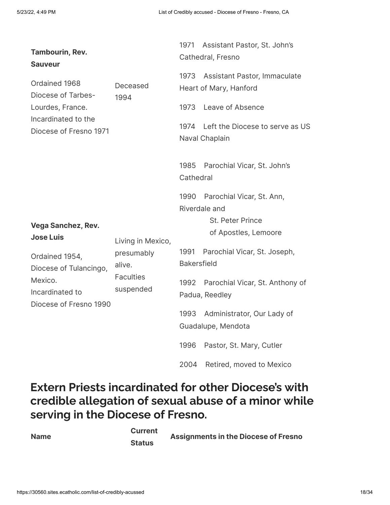| <b>Tambourin, Rev.</b><br><b>Sauveur</b>                                                         |                                                       | 1971                       | Assistant Pastor, St. John's<br>Cathedral, Fresno      |
|--------------------------------------------------------------------------------------------------|-------------------------------------------------------|----------------------------|--------------------------------------------------------|
| Ordained 1968<br>Diocese of Tarbes-                                                              | Deceased<br>1994                                      | 1973                       | Assistant Pastor, Immaculate<br>Heart of Mary, Hanford |
| Lourdes, France.                                                                                 |                                                       | 1973                       | Leave of Absence                                       |
| Incardinated to the<br>Diocese of Fresno 1971                                                    |                                                       | 1974                       | Left the Diocese to serve as US<br>Naval Chaplain      |
|                                                                                                  |                                                       | 1985<br>Cathedral          | Parochial Vicar, St. John's                            |
|                                                                                                  |                                                       | 1990                       | Parochial Vicar, St. Ann,<br>Riverdale and             |
| <b>Vega Sanchez, Rev.</b><br><b>Jose Luis</b>                                                    | Living in Mexico,                                     |                            | St. Peter Prince<br>of Apostles, Lemoore               |
| Ordained 1954,<br>Diocese of Tulancingo,<br>Mexico.<br>Incardinated to<br>Diocese of Fresno 1990 | presumably<br>alive.<br><b>Faculties</b><br>suspended | 1991<br><b>Bakersfield</b> | Parochial Vicar, St. Joseph,                           |
|                                                                                                  |                                                       | 1992                       | Parochial Vicar, St. Anthony of<br>Padua, Reedley      |
|                                                                                                  |                                                       | 1993                       | Administrator, Our Lady of<br>Guadalupe, Mendota       |
|                                                                                                  |                                                       | 1996                       | Pastor, St. Mary, Cutler                               |
|                                                                                                  |                                                       | 2004                       | Retired, moved to Mexico                               |

# **Extern Priests incardinated for other Diocese's with credible allegation of sexual abuse of a minor while serving in the Diocese of Fresno.**

**Name**

**Current Status**

**Assignments in the Diocese of Fresno**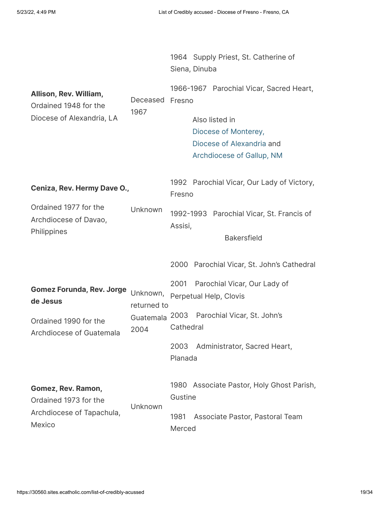|                                                                              |                                      | 1964 Supply Priest, St. Catherine of<br>Siena, Dinuba                                              |
|------------------------------------------------------------------------------|--------------------------------------|----------------------------------------------------------------------------------------------------|
| Allison, Rev. William,<br>Ordained 1948 for the<br>Diocese of Alexandria, LA | Deceased<br>1967                     | 1966-1967 Parochial Vicar, Sacred Heart,<br>Fresno                                                 |
|                                                                              |                                      | Also listed in<br>Diocese of Monterey,<br>Diocese of Alexandria and<br>Archdiocese of Gallup, NM   |
| Ceniza, Rev. Hermy Dave O.,                                                  |                                      | 1992 Parochial Vicar, Our Lady of Victory,<br>Fresno                                               |
| Ordained 1977 for the<br>Archdiocese of Davao,<br>Philippines                | Unknown                              | 1992-1993 Parochial Vicar, St. Francis of<br>Assisi,<br><b>Bakersfield</b>                         |
|                                                                              |                                      | 2000 Parochial Vicar, St. John's Cathedral                                                         |
| <b>Gomez Forunda, Rev. Jorge</b><br>de Jesus<br>Ordained 1990 for the        | Unknown,<br>returned to<br>Guatemala | Parochial Vicar, Our Lady of<br>2001<br>Perpetual Help, Clovis<br>2003 Parochial Vicar, St. John's |
| Archdiocese of Guatemala                                                     | 2004                                 | Cathedral<br>2003<br>Administrator, Sacred Heart,<br>Planada                                       |
| Gomez, Rev. Ramon,<br>Ordained 1973 for the                                  |                                      | 1980 Associate Pastor, Holy Ghost Parish,<br>Gustine                                               |
| Archdiocese of Tapachula,                                                    | Unknown                              | 1981<br>Associate Pastor, Pastoral Team                                                            |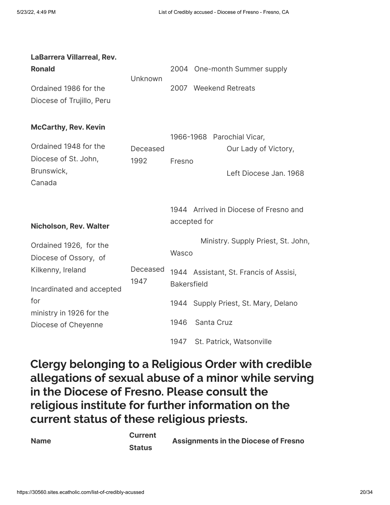| <b>LaBarrera Villarreal, Rev.</b>                  |                  |                                                              |
|----------------------------------------------------|------------------|--------------------------------------------------------------|
| <b>Ronald</b>                                      | Unknown          | 2004 One-month Summer supply                                 |
| Ordained 1986 for the<br>Diocese of Trujillo, Peru |                  | 2007 Weekend Retreats                                        |
| <b>McCarthy, Rev. Kevin</b>                        |                  | 1966-1968 Parochial Vicar,                                   |
| Ordained 1948 for the<br>Diocese of St. John,      | Deceased         | Our Lady of Victory,                                         |
| Brunswick,<br>Canada                               | 1992             | Fresno<br>Left Diocese Jan. 1968                             |
| <b>Nicholson, Rev. Walter</b>                      |                  | 1944 Arrived in Diocese of Fresno and<br>accepted for        |
| Ordained 1926, for the<br>Diocese of Ossory, of    |                  | Ministry. Supply Priest, St. John,<br>Wasco                  |
| Kilkenny, Ireland<br>Incardinated and accepted     | Deceased<br>1947 | 1944 Assistant, St. Francis of Assisi,<br><b>Bakersfield</b> |
| for<br>ministry in 1926 for the                    |                  | 1944 Supply Priest, St. Mary, Delano                         |
| Diocese of Cheyenne                                |                  | 1946<br>Santa Cruz                                           |
|                                                    |                  | 1947<br>St. Patrick, Watsonville                             |

**Clergy belonging to a Religious Order with credible allegations of sexual abuse of a minor while serving in the Diocese of Fresno. Please consult the religious institute for further information on the current status of these religious priests.**

| <b>Current</b> | <b>Assignments in the Diocese of Fresno</b> |
|----------------|---------------------------------------------|
| <b>Status</b>  |                                             |

**Name**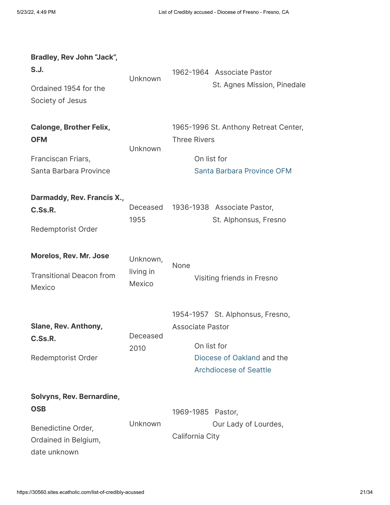| Bradley, Rev John "Jack",<br>S.J.<br>Ordained 1954 for the<br>Society of Jesus                        | Unknown                         | 1962-1964 Associate Pastor<br>St. Agnes Mission, Pinedale                                                                                 |
|-------------------------------------------------------------------------------------------------------|---------------------------------|-------------------------------------------------------------------------------------------------------------------------------------------|
| <b>Calonge, Brother Felix,</b><br><b>OFM</b><br>Franciscan Friars,<br>Santa Barbara Province          | Unknown                         | 1965-1996 St. Anthony Retreat Center,<br><b>Three Rivers</b><br>On list for<br>Santa Barbara Province OFM                                 |
| Darmaddy, Rev. Francis X.,<br>C.Ss.R.<br>Redemptorist Order                                           | Deceased<br>1955                | 1936-1938 Associate Pastor,<br>St. Alphonsus, Fresno                                                                                      |
| <b>Morelos, Rev. Mr. Jose</b><br><b>Transitional Deacon from</b><br>Mexico                            | Unknown,<br>living in<br>Mexico | None<br>Visiting friends in Fresno                                                                                                        |
| <b>Slane, Rev. Anthony,</b><br>C.Ss.R.<br>Redemptorist Order                                          | Deceased<br>2010                | 1954-1957 St. Alphonsus, Fresno,<br><b>Associate Pastor</b><br>On list for<br>Diocese of Oakland and the<br><b>Archdiocese of Seattle</b> |
| Solvyns, Rev. Bernardine,<br><b>OSB</b><br>Benedictine Order,<br>Ordained in Belgium,<br>date unknown | Unknown                         | 1969-1985 Pastor,<br>Our Lady of Lourdes,<br>California City                                                                              |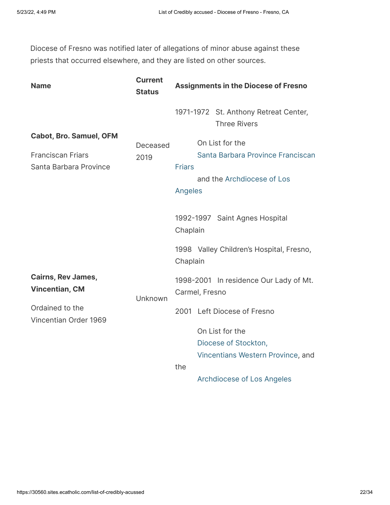Diocese of Fresno was notified later of allegations of minor abuse against these priests that occurred elsewhere, and they are listed on other sources.

| <b>Name</b>                                                                          | <b>Current</b><br><b>Status</b> | <b>Assignments in the Diocese of Fresno</b>                                                                           |
|--------------------------------------------------------------------------------------|---------------------------------|-----------------------------------------------------------------------------------------------------------------------|
|                                                                                      |                                 | 1971-1972 St. Anthony Retreat Center,<br><b>Three Rivers</b>                                                          |
| <b>Cabot, Bro. Samuel, OFM</b><br><b>Franciscan Friars</b><br>Santa Barbara Province | Deceased<br>2019                | On List for the<br>Santa Barbara Province Franciscan<br><b>Friars</b><br>and the Archdiocese of Los<br><b>Angeles</b> |
|                                                                                      |                                 | 1992-1997 Saint Agnes Hospital<br>Chaplain                                                                            |
|                                                                                      |                                 | 1998 Valley Children's Hospital, Fresno,<br>Chaplain                                                                  |
| <b>Cairns, Rev James,</b><br><b>Vincentian, CM</b>                                   | Unknown                         | 1998-2001 In residence Our Lady of Mt.<br>Carmel, Fresno                                                              |
| Ordained to the<br>Vincentian Order 1969                                             |                                 | 2001 Left Diocese of Fresno<br>On List for the<br>Diocese of Stockton,<br>Vincentians Western Province, and<br>the    |
|                                                                                      |                                 | <b>Archdiocese of Los Angeles</b>                                                                                     |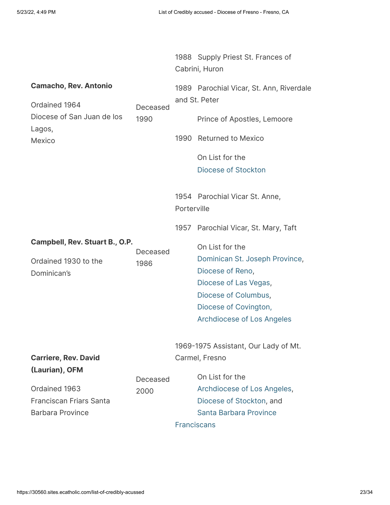|                                               |                  |             | 1988 Supply Priest St. Frances of<br>Cabrini, Huron       |
|-----------------------------------------------|------------------|-------------|-----------------------------------------------------------|
| <b>Camacho, Rev. Antonio</b><br>Ordained 1964 | Deceased<br>1990 |             | 1989 Parochial Vicar, St. Ann, Riverdale<br>and St. Peter |
| Diocese of San Juan de los<br>Lagos,          |                  |             | Prince of Apostles, Lemoore                               |
| Mexico                                        |                  |             | 1990 Returned to Mexico                                   |
|                                               |                  |             | On List for the                                           |
|                                               |                  |             | Diocese of Stockton                                       |
|                                               |                  | Porterville | 1954 Parochial Vicar St. Anne,                            |
|                                               |                  |             | 1957 Parochial Vicar, St. Mary, Taft                      |
| Campbell, Rev. Stuart B., O.P.                | Deceased         |             | On List for the                                           |
| Ordained 1930 to the                          | 1986             |             | Dominican St. Joseph Province,                            |
| Dominican's                                   |                  |             | Diocese of Reno,                                          |
|                                               |                  |             | Diocese of Las Vegas,                                     |
|                                               |                  |             | Diocese of Columbus,                                      |
|                                               |                  |             | Diocese of Covington,                                     |
|                                               |                  |             | <b>Archdiocese of Los Angeles</b>                         |
|                                               |                  |             | 1969-1975 Assistant, Our Lady of Mt.                      |
| <b>Carriere, Rev. David</b>                   |                  |             | Carmel, Fresno                                            |
| (Laurian), OFM                                |                  |             |                                                           |
|                                               | Deceased         |             | On List for the                                           |
| Ordained 1963                                 | 2000             |             | Archdiocese of Los Angeles,                               |
| <b>Franciscan Friars Santa</b>                |                  |             | Diocese of Stockton, and                                  |
| <b>Barbara Province</b>                       |                  |             | Santa Barbara Province                                    |
|                                               |                  |             | <b>Franciscans</b>                                        |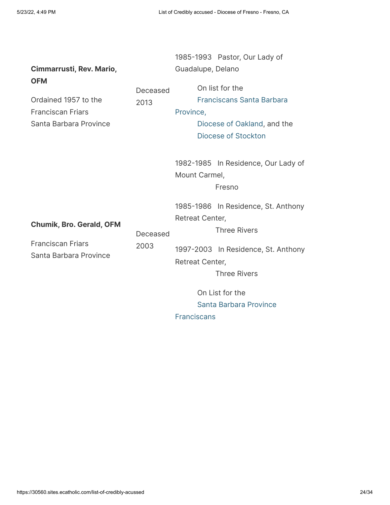| Cimmarrusti, Rev. Mario,<br><b>OFM</b><br>Ordained 1957 to the<br><b>Franciscan Friars</b><br>Santa Barbara Province | Deceased<br>2013 | 1985-1993 Pastor, Our Lady of<br>Guadalupe, Delano<br>On list for the<br><b>Franciscans Santa Barbara</b><br>Province,<br>Diocese of Oakland, and the<br>Diocese of Stockton                                                                                                  |
|----------------------------------------------------------------------------------------------------------------------|------------------|-------------------------------------------------------------------------------------------------------------------------------------------------------------------------------------------------------------------------------------------------------------------------------|
| <b>Chumik, Bro. Gerald, OFM</b><br><b>Franciscan Friars</b><br>Santa Barbara Province                                | Deceased<br>2003 | 1982-1985 In Residence, Our Lady of<br>Mount Carmel,<br>Fresno<br>1985-1986 In Residence, St. Anthony<br>Retreat Center,<br><b>Three Rivers</b><br>1997-2003 In Residence, St. Anthony<br>Retreat Center,<br><b>Three Rivers</b><br>On List for the<br>Santa Barbara Province |

Franciscans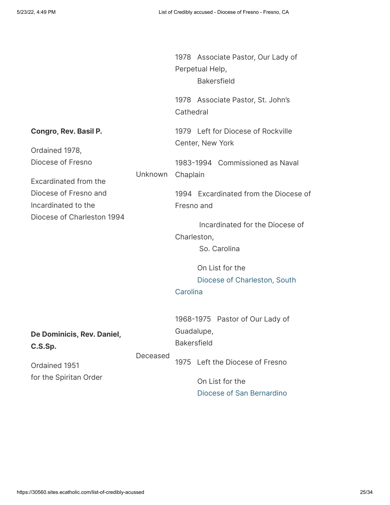|                                                                                                                                                                            |          | 1978 Associate Pastor, Our Lady of<br>Perpetual Help,<br><b>Bakersfield</b>                                                                                                                                                    |
|----------------------------------------------------------------------------------------------------------------------------------------------------------------------------|----------|--------------------------------------------------------------------------------------------------------------------------------------------------------------------------------------------------------------------------------|
|                                                                                                                                                                            |          | 1978 Associate Pastor, St. John's<br>Cathedral                                                                                                                                                                                 |
| <b>Congro, Rev. Basil P.</b><br>Ordained 1978,<br>Diocese of Fresno<br>Excardinated from the<br>Diocese of Fresno and<br>Incardinated to the<br>Diocese of Charleston 1994 | Unknown  | 1979 Left for Diocese of Rockville<br>Center, New York<br>1983-1994 Commissioned as Naval<br>Chaplain<br>1994 Excardinated from the Diocese of<br>Fresno and<br>Incardinated for the Diocese of<br>Charleston,<br>So. Carolina |
|                                                                                                                                                                            |          | On List for the<br>Diocese of Charleston, South<br>Carolina                                                                                                                                                                    |
| De Dominicis, Rev. Daniel,<br>C.S.Sp.<br>Ordained 1951<br>for the Spiritan Order                                                                                           | Deceased | 1968-1975 Pastor of Our Lady of<br>Guadalupe,<br><b>Bakersfield</b><br>1975 Left the Diocese of Fresno<br>On List for the                                                                                                      |
|                                                                                                                                                                            |          | Diocese of San Bernardino                                                                                                                                                                                                      |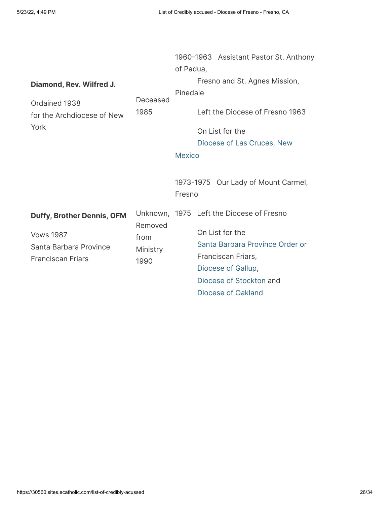| Diamond, Rev. Wilfred J.<br>Ordained 1938<br>for the Archdiocese of New<br>York                             | Deceased<br>1985                    | 1960-1963 Assistant Pastor St. Anthony<br>of Padua,<br>Fresno and St. Agnes Mission,<br>Pinedale<br>Left the Diocese of Fresno 1963<br>On List for the<br>Diocese of Las Cruces, New<br><b>Mexico</b> |
|-------------------------------------------------------------------------------------------------------------|-------------------------------------|-------------------------------------------------------------------------------------------------------------------------------------------------------------------------------------------------------|
|                                                                                                             |                                     | 1973-1975 Our Lady of Mount Carmel,<br>Fresno                                                                                                                                                         |
| <b>Duffy, Brother Dennis, OFM</b><br><b>Vows 1987</b><br>Santa Barbara Province<br><b>Franciscan Friars</b> | Removed<br>from<br>Ministry<br>1990 | Unknown, 1975 Left the Diocese of Fresno<br>On List for the<br>Santa Barbara Province Order or<br>Franciscan Friars,<br>Diocese of Gallup,<br>Diocese of Stockton and<br>Diocese of Oakland           |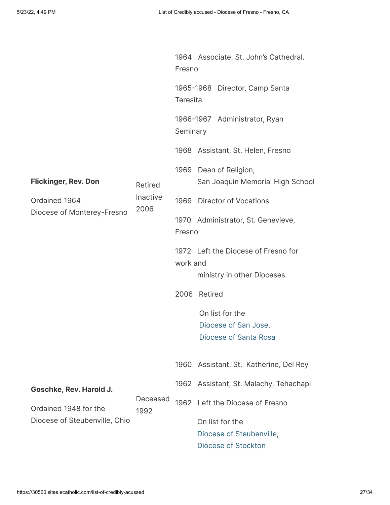|                                                                            | Retired<br><b>Inactive</b><br>2006 | 1964 Associate, St. John's Cathedral.<br>Fresno |                                                                  |  |  |
|----------------------------------------------------------------------------|------------------------------------|-------------------------------------------------|------------------------------------------------------------------|--|--|
| <b>Flickinger, Rev. Don</b><br>Ordained 1964<br>Diocese of Monterey-Fresno |                                    | 1965-1968 Director, Camp Santa<br>Teresita      |                                                                  |  |  |
|                                                                            |                                    | 1966-1967 Administrator, Ryan<br>Seminary       |                                                                  |  |  |
|                                                                            |                                    |                                                 | 1968 Assistant, St. Helen, Fresno                                |  |  |
|                                                                            |                                    | 1969                                            | Dean of Religion,<br>San Joaquin Memorial High School            |  |  |
|                                                                            |                                    |                                                 | 1969 Director of Vocations                                       |  |  |
|                                                                            |                                    | Fresno                                          | 1970 Administrator, St. Genevieve,                               |  |  |
|                                                                            |                                    | work and                                        | 1972 Left the Diocese of Fresno for                              |  |  |
|                                                                            |                                    |                                                 | ministry in other Dioceses.                                      |  |  |
|                                                                            |                                    | 2006                                            | Retired                                                          |  |  |
|                                                                            |                                    |                                                 | On list for the<br>Diocese of San Jose,<br>Diocese of Santa Rosa |  |  |
|                                                                            |                                    | 1960                                            | Assistant, St. Katherine, Del Rey                                |  |  |
| Goschke, Rev. Harold J.                                                    |                                    |                                                 | 1962 Assistant, St. Malachy, Tehachapi                           |  |  |
| Ordained 1948 for the<br>Diocese of Steubenville, Ohio                     | Deceased<br>1992                   | 1962                                            | Left the Diocese of Fresno                                       |  |  |
|                                                                            |                                    |                                                 | On list for the<br>Diocese of Steubenville,                      |  |  |
|                                                                            |                                    |                                                 | Diocese of Stockton                                              |  |  |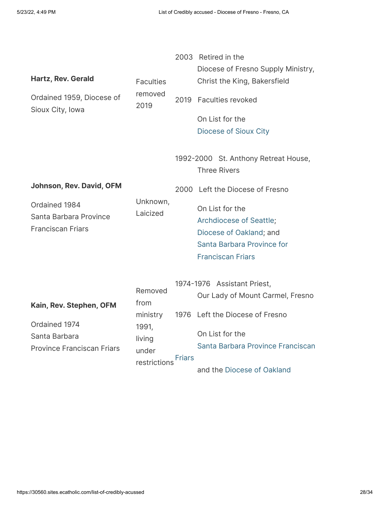| <b>Hartz, Rev. Gerald</b><br>Ordained 1959, Diocese of<br>Sioux City, Iowa | <b>Faculties</b><br>removed<br>2019      | 2003   | Retired in the<br>Diocese of Fresno Supply Ministry,<br>Christ the King, Bakersfield<br>2019 Faculties revoked<br>On List for the<br>Diocese of Sioux City |
|----------------------------------------------------------------------------|------------------------------------------|--------|------------------------------------------------------------------------------------------------------------------------------------------------------------|
|                                                                            |                                          |        | 1992-2000 St. Anthony Retreat House,<br><b>Three Rivers</b>                                                                                                |
| <b>Johnson, Rev. David, OFM</b>                                            |                                          |        | 2000 Left the Diocese of Fresno                                                                                                                            |
| Ordained 1984<br>Santa Barbara Province<br><b>Franciscan Friars</b>        | Unknown,<br>Laicized                     |        | On List for the<br>Archdiocese of Seattle;<br>Diocese of Oakland; and<br>Santa Barbara Province for<br><b>Franciscan Friars</b>                            |
| Kain, Rev. Stephen, OFM                                                    | Removed<br>from                          |        | 1974-1976 Assistant Priest,<br>Our Lady of Mount Carmel, Fresno                                                                                            |
|                                                                            | ministry                                 |        | 1976 Left the Diocese of Fresno                                                                                                                            |
| Ordained 1974<br>Santa Barbara<br><b>Province Franciscan Friars</b>        | 1991,<br>living<br>under<br>restrictions | Friars | On List for the<br>Santa Barbara Province Franciscan<br>and the Diocese of Oakland                                                                         |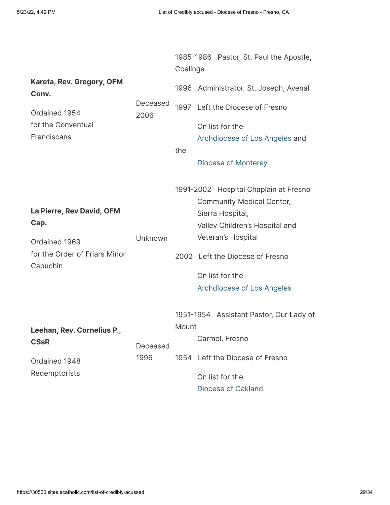|                                                                                                 |                  | 1985-1986 Pastor, St. Paul the Apostle,<br>Coalinga |  |                                                                                                                                                                                                                                                  |
|-------------------------------------------------------------------------------------------------|------------------|-----------------------------------------------------|--|--------------------------------------------------------------------------------------------------------------------------------------------------------------------------------------------------------------------------------------------------|
| Kareta, Rev. Gregory, OFM<br>Conv.                                                              | Deceased<br>2006 |                                                     |  | 1996 Administrator, St. Joseph, Avenal                                                                                                                                                                                                           |
| Ordained 1954<br>for the Conventual<br>Franciscans                                              |                  | the                                                 |  | 1997 Left the Diocese of Fresno<br>On list for the<br>Archdiocese of Los Angeles and<br>Diocese of Monterey                                                                                                                                      |
| La Pierre, Rev David, OFM<br>Cap.<br>Ordained 1969<br>for the Order of Friars Minor<br>Capuchin | Unknown          |                                                     |  | 1991-2002 Hospital Chaplain at Fresno<br><b>Community Medical Center,</b><br>Sierra Hospital,<br>Valley Children's Hospital and<br>Veteran's Hospital<br>2002 Left the Diocese of Fresno<br>On list for the<br><b>Archdiocese of Los Angeles</b> |
| Leehan, Rev. Cornelius P.,<br><b>CSsR</b><br>Ordained 1948<br>Redemptorists                     | Deceased<br>1996 | Mount<br>1954                                       |  | 1951-1954 Assistant Pastor, Our Lady of<br>Carmel, Fresno<br>Left the Diocese of Fresno<br>On list for the<br>Diocese of Oakland                                                                                                                 |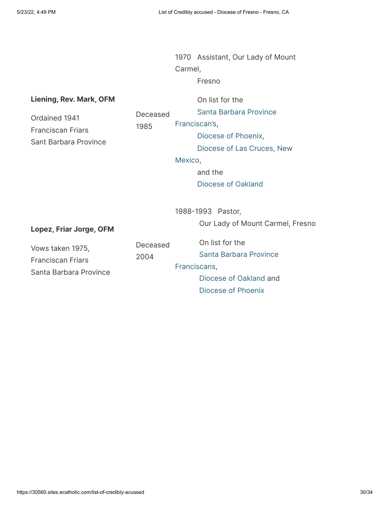1970 Assistant, Our Lady of Mount Carmel,

Fresno

#### **Liening, Rev. Mark, OFM** Ordained 1941 Franciscan Friars Sant Barbara Province Deceased 1985 On list for the  [Santa Barbara Province](https://www.bishop-accountability.org/order_lists/Franciscans_St_Barbara/2019_05_31_Franciscans_St_Barbara_Credibly_Accused_Downloaded_2019_06_05.pdf#page=7) Franciscan's, [Diocese of Phoenix](https://www.bishop-accountability.org/diocesan_lists/Phoenix/2019_10_29_Phoenix_Table_3_Religious.pdf#page=3),  [Diocese of Las Cruces, New](https://www.bishop-accountability.org/diocesan_lists/Las_Cruces/2019_06_24_Las_Cruces_List_of_Accused.pdf) Mexico, and the [Diocese of Oakland](https://www.bishop-accountability.org/diocesan_lists/Oakland/2019_06_01_Oakland_Credible_Accusations_Downloaded_on_2019_06_05.pdf) **Lopez, Friar Jorge, OFM** Vows taken 1975, Franciscan Friars Santa Barbara Province Deceased 2004 1988-1993 Pastor, Our Lady of Mount Carmel, Fresno On list for the  [Santa Barbara Province](https://www.bishop-accountability.org/order_lists/Franciscans_St_Barbara/2019_05_31_Franciscans_St_Barbara_Credibly_Accused_Downloaded_2019_06_05.pdf#page=8) Franciscans, [Diocese of Oakland](https://www.bishop-accountability.org/diocesan_lists/Oakland/2019_06_01_Oakland_Credible_Accusations_Downloaded_on_2019_06_05.pdf) and [Diocese of Phoenix](https://www.bishop-accountability.org/diocesan_lists/Phoenix/2019_10_29_Phoenix_Table_4_Religious_Brothers.pdf)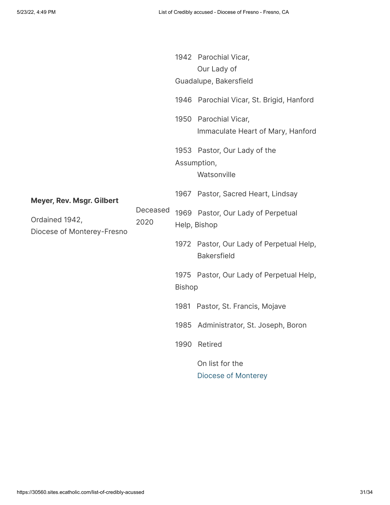|                                                                                  |                  |               | 1942 Parochial Vicar,                                          |
|----------------------------------------------------------------------------------|------------------|---------------|----------------------------------------------------------------|
|                                                                                  |                  |               | Our Lady of<br>Guadalupe, Bakersfield                          |
| <b>Meyer, Rev. Msgr. Gilbert</b><br>Ordained 1942,<br>Diocese of Monterey-Fresno | Deceased<br>2020 |               | 1946 Parochial Vicar, St. Brigid, Hanford                      |
|                                                                                  |                  |               | 1950 Parochial Vicar,                                          |
|                                                                                  |                  |               | Immaculate Heart of Mary, Hanford                              |
|                                                                                  |                  |               | 1953 Pastor, Our Lady of the                                   |
|                                                                                  |                  |               | Assumption,<br>Watsonville                                     |
|                                                                                  |                  |               | 1967 Pastor, Sacred Heart, Lindsay                             |
|                                                                                  |                  |               | 1969 Pastor, Our Lady of Perpetual<br>Help, Bishop             |
|                                                                                  |                  |               | 1972 Pastor, Our Lady of Perpetual Help,<br><b>Bakersfield</b> |
|                                                                                  |                  | <b>Bishop</b> | 1975 Pastor, Our Lady of Perpetual Help,                       |
|                                                                                  |                  |               | 1981 Pastor, St. Francis, Mojave                               |
|                                                                                  |                  |               | 1985 Administrator, St. Joseph, Boron                          |
|                                                                                  |                  | 1990          | Retired                                                        |
|                                                                                  |                  |               | On list for the<br><b>Diocese of Monterey</b>                  |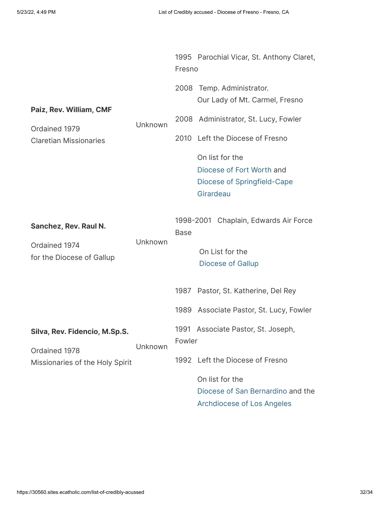|                                                                           |         | Fresno         | 1995 Parochial Vicar, St. Anthony Claret,                                                                                                                                                                                |
|---------------------------------------------------------------------------|---------|----------------|--------------------------------------------------------------------------------------------------------------------------------------------------------------------------------------------------------------------------|
| Paiz, Rev. William, CMF<br>Ordained 1979<br><b>Claretian Missionaries</b> | Unknown | 2008<br>2010   | Temp. Administrator.<br>Our Lady of Mt. Carmel, Fresno<br>2008 Administrator, St. Lucy, Fowler<br>Left the Diocese of Fresno<br>On list for the<br>Diocese of Fort Worth and<br>Diocese of Springfield-Cape<br>Girardeau |
| Sanchez, Rev. Raul N.<br>Ordained 1974<br>for the Diocese of Gallup       | Unknown | <b>Base</b>    | 1998-2001 Chaplain, Edwards Air Force<br>On List for the<br><b>Diocese of Gallup</b>                                                                                                                                     |
|                                                                           |         | 1987           | Pastor, St. Katherine, Del Rey                                                                                                                                                                                           |
|                                                                           |         | 1989           | Associate Pastor, St. Lucy, Fowler                                                                                                                                                                                       |
| Silva, Rev. Fidencio, M.Sp.S.<br>Ordained 1978                            | Unknown | 1991<br>Fowler | Associate Pastor, St. Joseph,                                                                                                                                                                                            |
| Missionaries of the Holy Spirit                                           |         |                | 1992 Left the Diocese of Fresno                                                                                                                                                                                          |
|                                                                           |         |                | On list for the<br>Diocese of San Bernardino and the<br><b>Archdiocese of Los Angeles</b>                                                                                                                                |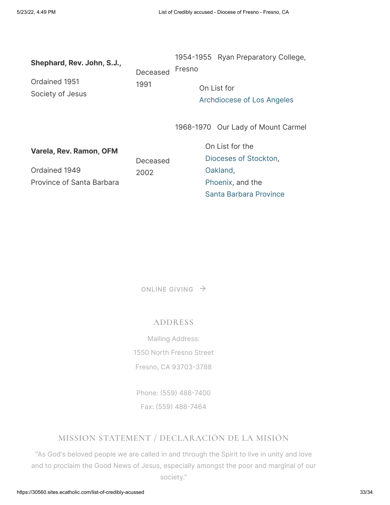| Shephard, Rev. John, S.J.,        | Deceased         | 1954-1955 Ryan Preparatory College,<br>Fresno |
|-----------------------------------|------------------|-----------------------------------------------|
| Ordained 1951<br>Society of Jesus | 1991             | On List for<br>Archdiocese of Los Angeles     |
|                                   |                  | 1968-1970 Our Lady of Mount Carmel            |
| Varela, Rev. Ramon, OFM           | Deceased<br>2002 | On List for the<br>Dioceses of Stockton,      |
| Ordained 1949                     |                  | Oakland,                                      |
| Province of Santa Barbara         |                  | Phoenix, and the                              |
|                                   |                  | Santa Barbara Province                        |

[ONLINE](https://30560.sites.ecatholic.com/bishops-annual-appeal) GIVING  $\rightarrow$ 

### ADDRESS

Mailing Address: 1550 North Fresno Street Fresno, CA 93703-3788

Phone: [\(559\) 488-7400](tel:1-559-488-7400)

# Fax: [\(559\) 488-7464](fax:1-559-488-7464)

# MISSION STATEMENT / DECLARACIÓN DE LA MISIÓN

"As God's beloved people we are called in and through the Spirit to live in unity and love and to proclaim the Good News of Jesus, especially amongst the poor and marginal of our society."